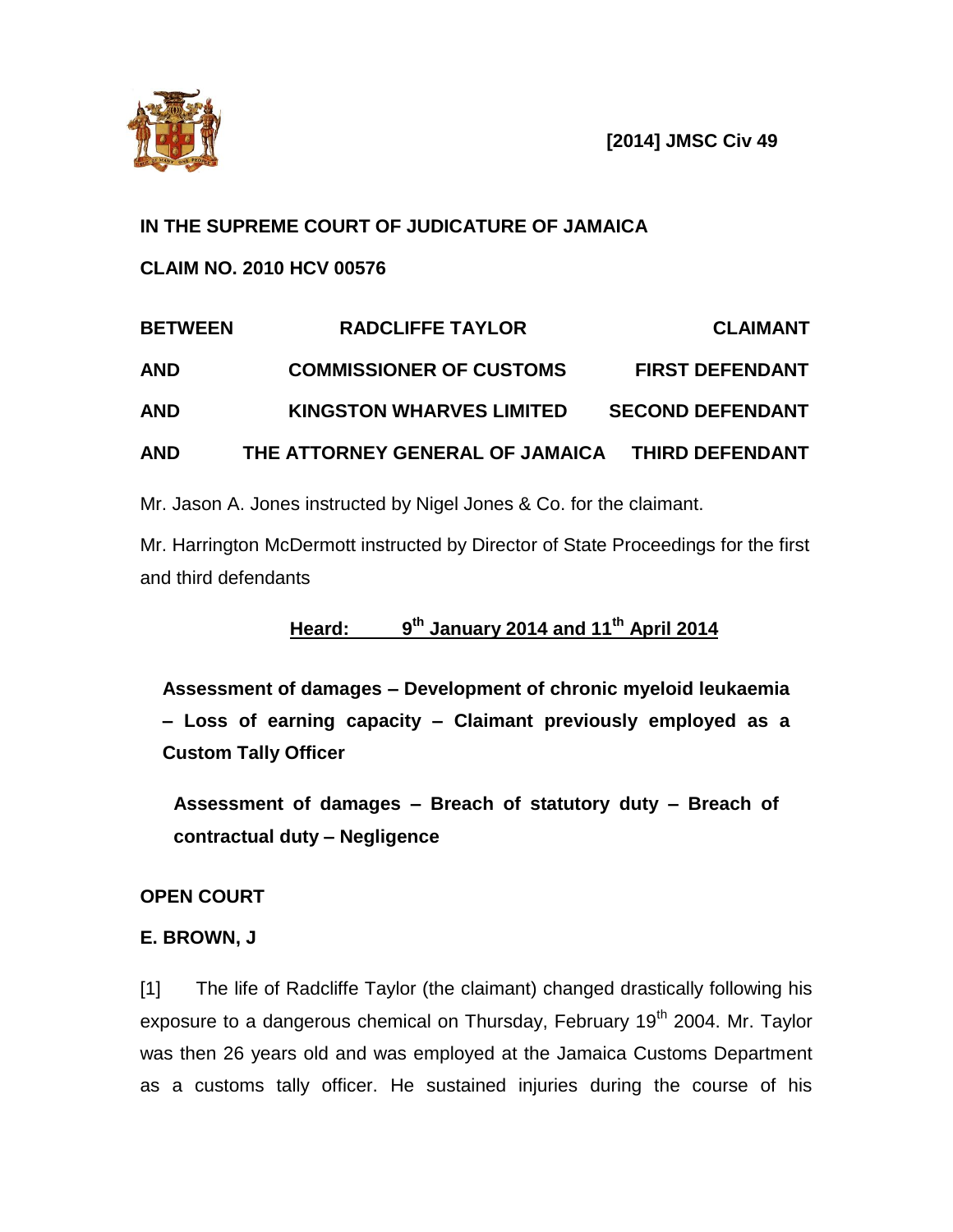

**[2014] JMSC Civ 49**

# **IN THE SUPREME COURT OF JUDICATURE OF JAMAICA**

**CLAIM NO. 2010 HCV 00576**

# **BETWEEN RADCLIFFE TAYLOR CLAIMANT AND COMMISSIONER OF CUSTOMS FIRST DEFENDANT AND KINGSTON WHARVES LIMITED SECOND DEFENDANT AND THE ATTORNEY GENERAL OF JAMAICA THIRD DEFENDANT**

Mr. Jason A. Jones instructed by Nigel Jones & Co. for the claimant.

Mr. Harrington McDermott instructed by Director of State Proceedings for the first and third defendants

#### **Heard: 9 th January 2014 and 11th April 2014**

**Assessment of damages – Development of chronic myeloid leukaemia – Loss of earning capacity – Claimant previously employed as a Custom Tally Officer** 

**Assessment of damages – Breach of statutory duty – Breach of contractual duty – Negligence**

# **OPEN COURT**

# **E. BROWN, J**

[1] The life of Radcliffe Taylor (the claimant) changed drastically following his exposure to a dangerous chemical on Thursday, February 19<sup>th</sup> 2004. Mr. Taylor was then 26 years old and was employed at the Jamaica Customs Department as a customs tally officer. He sustained injuries during the course of his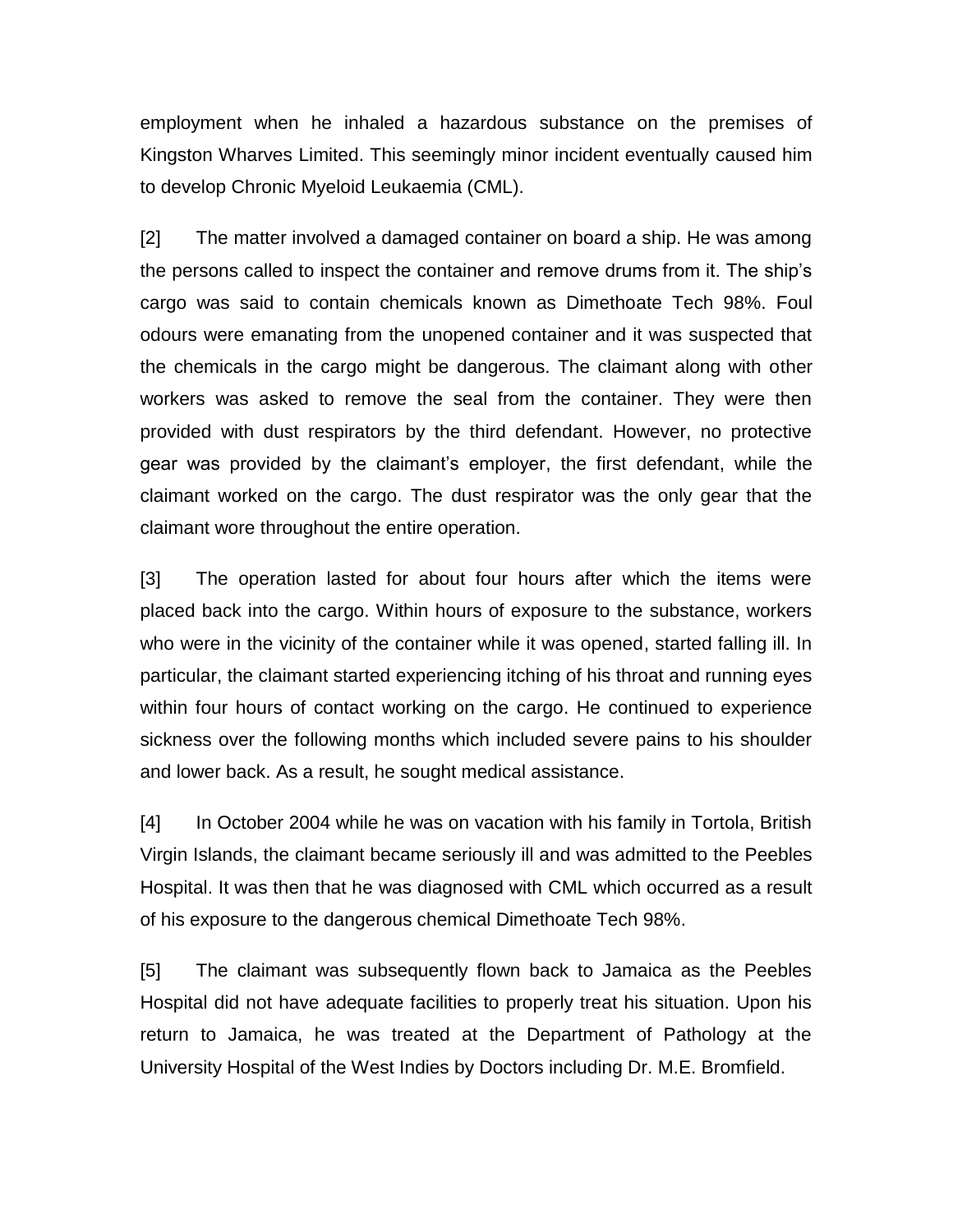employment when he inhaled a hazardous substance on the premises of Kingston Wharves Limited. This seemingly minor incident eventually caused him to develop Chronic Myeloid Leukaemia (CML).

[2] The matter involved a damaged container on board a ship. He was among the persons called to inspect the container and remove drums from it. The ship's cargo was said to contain chemicals known as Dimethoate Tech 98%. Foul odours were emanating from the unopened container and it was suspected that the chemicals in the cargo might be dangerous. The claimant along with other workers was asked to remove the seal from the container. They were then provided with dust respirators by the third defendant. However, no protective gear was provided by the claimant's employer, the first defendant, while the claimant worked on the cargo. The dust respirator was the only gear that the claimant wore throughout the entire operation.

[3] The operation lasted for about four hours after which the items were placed back into the cargo. Within hours of exposure to the substance, workers who were in the vicinity of the container while it was opened, started falling ill. In particular, the claimant started experiencing itching of his throat and running eyes within four hours of contact working on the cargo. He continued to experience sickness over the following months which included severe pains to his shoulder and lower back. As a result, he sought medical assistance.

[4] In October 2004 while he was on vacation with his family in Tortola, British Virgin Islands, the claimant became seriously ill and was admitted to the Peebles Hospital. It was then that he was diagnosed with CML which occurred as a result of his exposure to the dangerous chemical Dimethoate Tech 98%.

[5] The claimant was subsequently flown back to Jamaica as the Peebles Hospital did not have adequate facilities to properly treat his situation. Upon his return to Jamaica, he was treated at the Department of Pathology at the University Hospital of the West Indies by Doctors including Dr. M.E. Bromfield.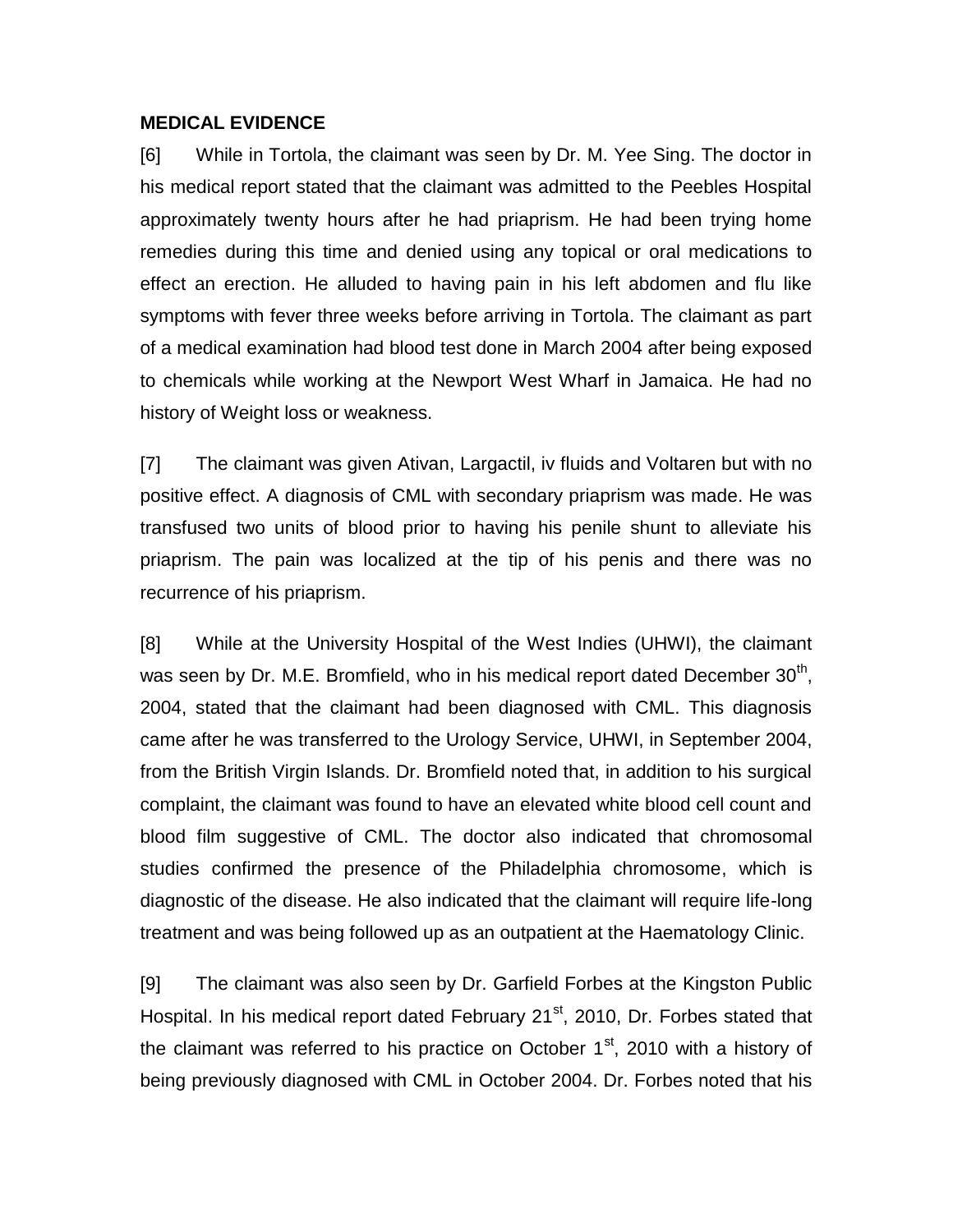#### **MEDICAL EVIDENCE**

[6] While in Tortola, the claimant was seen by Dr. M. Yee Sing. The doctor in his medical report stated that the claimant was admitted to the Peebles Hospital approximately twenty hours after he had priaprism. He had been trying home remedies during this time and denied using any topical or oral medications to effect an erection. He alluded to having pain in his left abdomen and flu like symptoms with fever three weeks before arriving in Tortola. The claimant as part of a medical examination had blood test done in March 2004 after being exposed to chemicals while working at the Newport West Wharf in Jamaica. He had no history of Weight loss or weakness.

[7] The claimant was given Ativan, Largactil, iv fluids and Voltaren but with no positive effect. A diagnosis of CML with secondary priaprism was made. He was transfused two units of blood prior to having his penile shunt to alleviate his priaprism. The pain was localized at the tip of his penis and there was no recurrence of his priaprism.

[8] While at the University Hospital of the West Indies (UHWI), the claimant was seen by Dr. M.E. Bromfield, who in his medical report dated December  $30<sup>th</sup>$ , 2004, stated that the claimant had been diagnosed with CML. This diagnosis came after he was transferred to the Urology Service, UHWI, in September 2004, from the British Virgin Islands. Dr. Bromfield noted that, in addition to his surgical complaint, the claimant was found to have an elevated white blood cell count and blood film suggestive of CML. The doctor also indicated that chromosomal studies confirmed the presence of the Philadelphia chromosome, which is diagnostic of the disease. He also indicated that the claimant will require life-long treatment and was being followed up as an outpatient at the Haematology Clinic.

[9] The claimant was also seen by Dr. Garfield Forbes at the Kingston Public Hospital. In his medical report dated February 21<sup>st</sup>, 2010, Dr. Forbes stated that the claimant was referred to his practice on October  $1<sup>st</sup>$ , 2010 with a history of being previously diagnosed with CML in October 2004. Dr. Forbes noted that his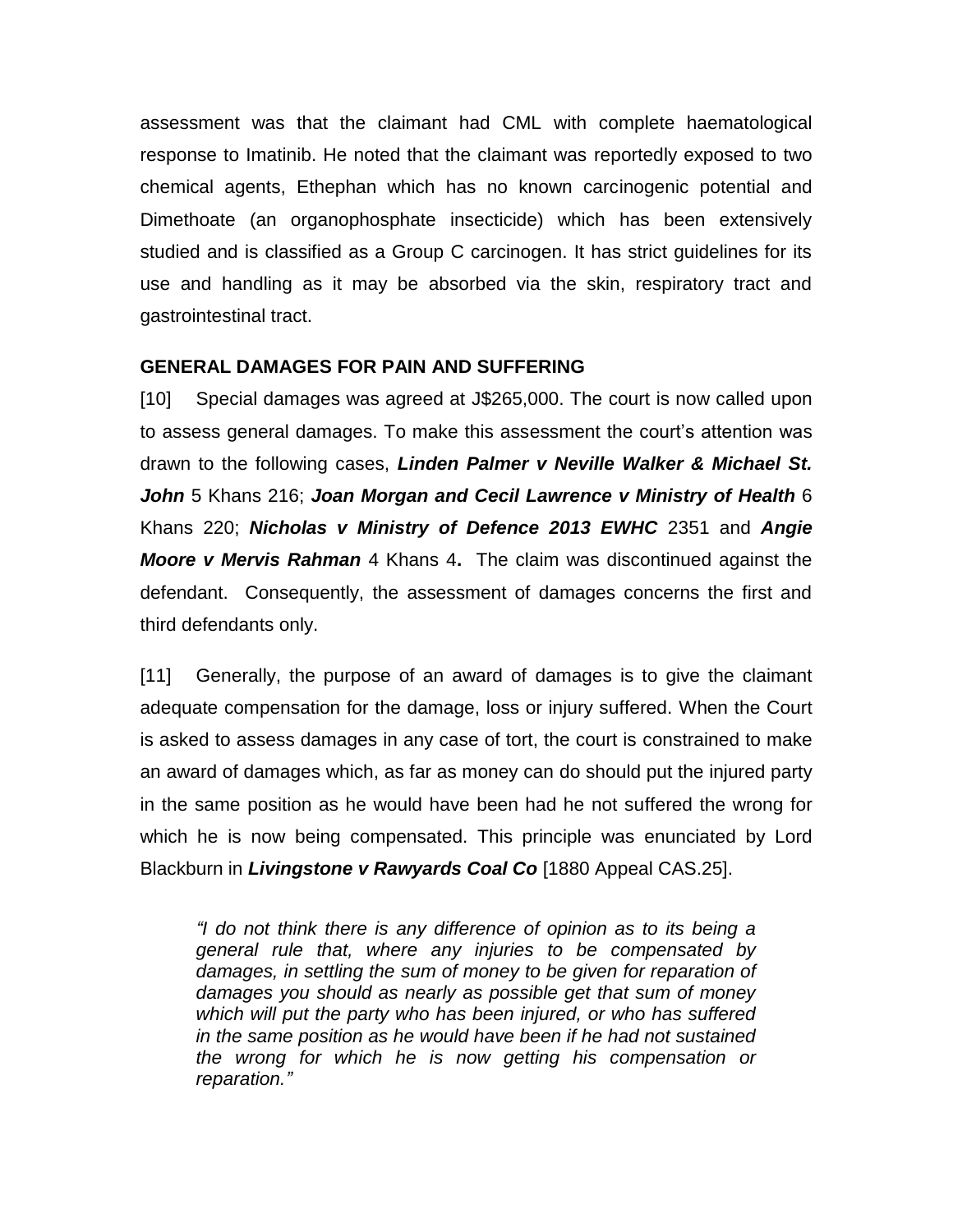assessment was that the claimant had CML with complete haematological response to Imatinib. He noted that the claimant was reportedly exposed to two chemical agents, Ethephan which has no known carcinogenic potential and Dimethoate (an organophosphate insecticide) which has been extensively studied and is classified as a Group C carcinogen. It has strict guidelines for its use and handling as it may be absorbed via the skin, respiratory tract and gastrointestinal tract.

### **GENERAL DAMAGES FOR PAIN AND SUFFERING**

[10] Special damages was agreed at J\$265,000. The court is now called upon to assess general damages. To make this assessment the court's attention was drawn to the following cases, *Linden Palmer v Neville Walker & Michael St. John* 5 Khans 216; *Joan Morgan and Cecil Lawrence v Ministry of Health* 6 Khans 220; *Nicholas v Ministry of Defence 2013 EWHC* 2351 and *Angie Moore v Mervis Rahman* 4 Khans 4**.** The claim was discontinued against the defendant. Consequently, the assessment of damages concerns the first and third defendants only.

[11] Generally, the purpose of an award of damages is to give the claimant adequate compensation for the damage, loss or injury suffered. When the Court is asked to assess damages in any case of tort, the court is constrained to make an award of damages which, as far as money can do should put the injured party in the same position as he would have been had he not suffered the wrong for which he is now being compensated. This principle was enunciated by Lord Blackburn in *Livingstone v Rawyards Coal Co* [1880 Appeal CAS.25].

*"I do not think there is any difference of opinion as to its being a general rule that, where any injuries to be compensated by damages, in settling the sum of money to be given for reparation of damages you should as nearly as possible get that sum of money which will put the party who has been injured, or who has suffered in the same position as he would have been if he had not sustained the wrong for which he is now getting his compensation or reparation."*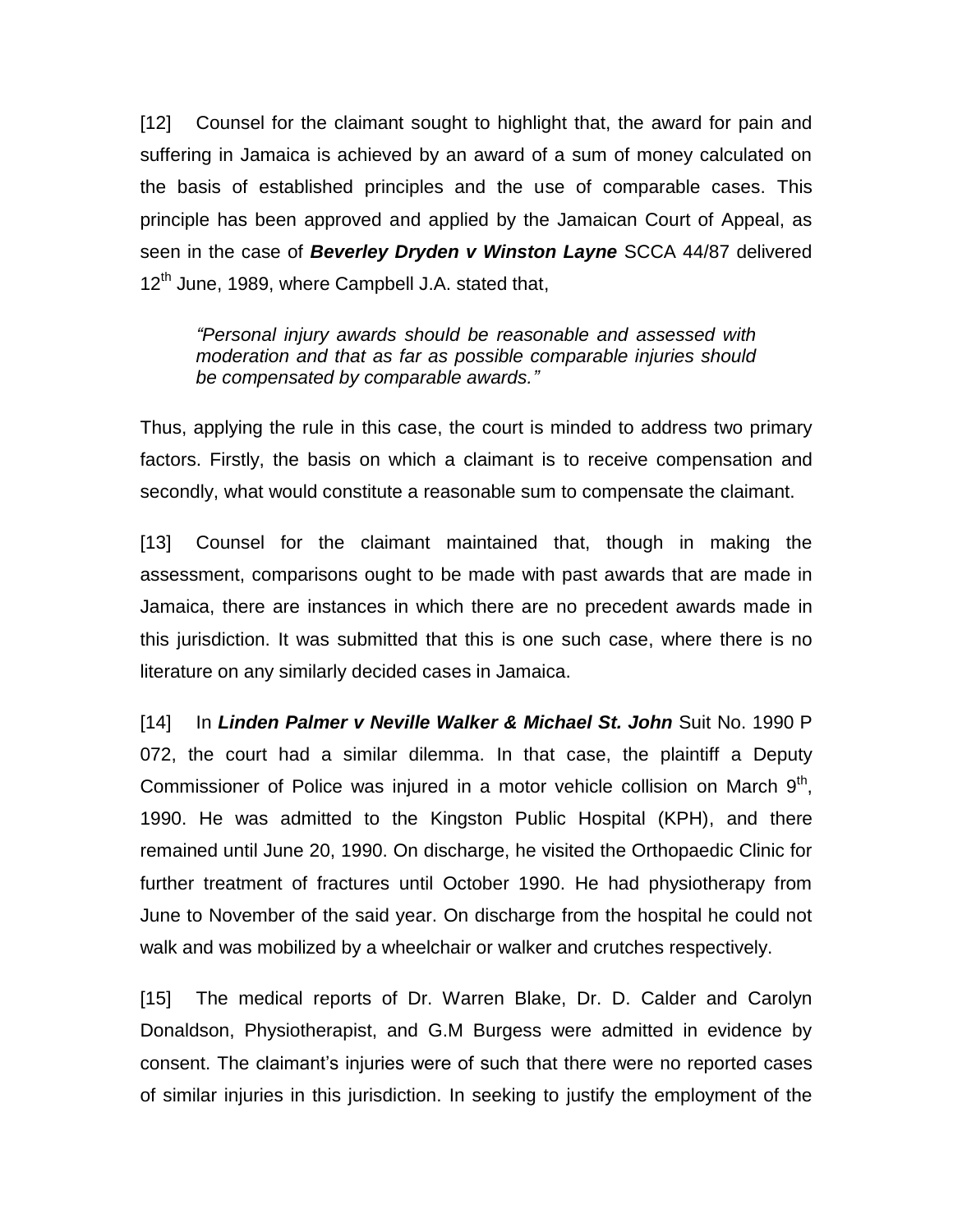[12] Counsel for the claimant sought to highlight that, the award for pain and suffering in Jamaica is achieved by an award of a sum of money calculated on the basis of established principles and the use of comparable cases. This principle has been approved and applied by the Jamaican Court of Appeal, as seen in the case of *Beverley Dryden v Winston Layne* SCCA 44/87 delivered 12<sup>th</sup> June, 1989, where Campbell J.A. stated that,

*"Personal injury awards should be reasonable and assessed with moderation and that as far as possible comparable injuries should be compensated by comparable awards."*

Thus, applying the rule in this case, the court is minded to address two primary factors. Firstly, the basis on which a claimant is to receive compensation and secondly, what would constitute a reasonable sum to compensate the claimant.

[13] Counsel for the claimant maintained that, though in making the assessment, comparisons ought to be made with past awards that are made in Jamaica, there are instances in which there are no precedent awards made in this jurisdiction. It was submitted that this is one such case, where there is no literature on any similarly decided cases in Jamaica.

[14] In *Linden Palmer v Neville Walker & Michael St. John* Suit No. 1990 P 072, the court had a similar dilemma. In that case, the plaintiff a Deputy Commissioner of Police was injured in a motor vehicle collision on March  $9<sup>th</sup>$ , 1990. He was admitted to the Kingston Public Hospital (KPH), and there remained until June 20, 1990. On discharge, he visited the Orthopaedic Clinic for further treatment of fractures until October 1990. He had physiotherapy from June to November of the said year. On discharge from the hospital he could not walk and was mobilized by a wheelchair or walker and crutches respectively.

[15] The medical reports of Dr. Warren Blake, Dr. D. Calder and Carolyn Donaldson, Physiotherapist, and G.M Burgess were admitted in evidence by consent. The claimant's injuries were of such that there were no reported cases of similar injuries in this jurisdiction. In seeking to justify the employment of the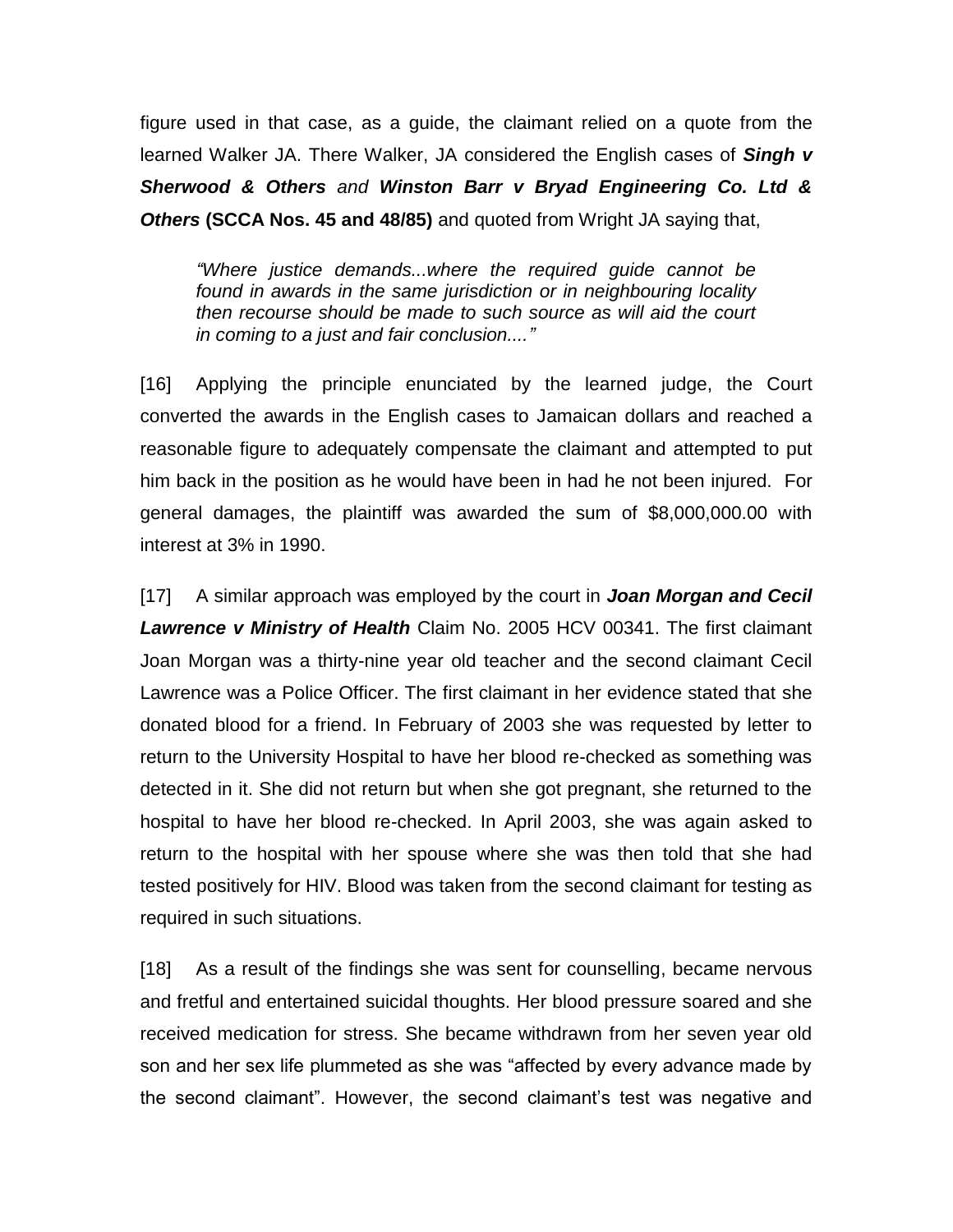figure used in that case, as a guide, the claimant relied on a quote from the learned Walker JA. There Walker, JA considered the English cases of *Singh v Sherwood & Others and Winston Barr v Bryad Engineering Co. Ltd & Others* **(SCCA Nos. 45 and 48/85)** and quoted from Wright JA saying that,

*"Where justice demands...where the required guide cannot be found in awards in the same jurisdiction or in neighbouring locality then recourse should be made to such source as will aid the court in coming to a just and fair conclusion...."*

[16] Applying the principle enunciated by the learned judge, the Court converted the awards in the English cases to Jamaican dollars and reached a reasonable figure to adequately compensate the claimant and attempted to put him back in the position as he would have been in had he not been injured. For general damages, the plaintiff was awarded the sum of \$8,000,000.00 with interest at 3% in 1990.

[17] A similar approach was employed by the court in *Joan Morgan and Cecil Lawrence v Ministry of Health* Claim No. 2005 HCV 00341. The first claimant Joan Morgan was a thirty-nine year old teacher and the second claimant Cecil Lawrence was a Police Officer. The first claimant in her evidence stated that she donated blood for a friend. In February of 2003 she was requested by letter to return to the University Hospital to have her blood re-checked as something was detected in it. She did not return but when she got pregnant, she returned to the hospital to have her blood re-checked. In April 2003, she was again asked to return to the hospital with her spouse where she was then told that she had tested positively for HIV. Blood was taken from the second claimant for testing as required in such situations.

[18] As a result of the findings she was sent for counselling, became nervous and fretful and entertained suicidal thoughts. Her blood pressure soared and she received medication for stress. She became withdrawn from her seven year old son and her sex life plummeted as she was "affected by every advance made by the second claimant". However, the second claimant's test was negative and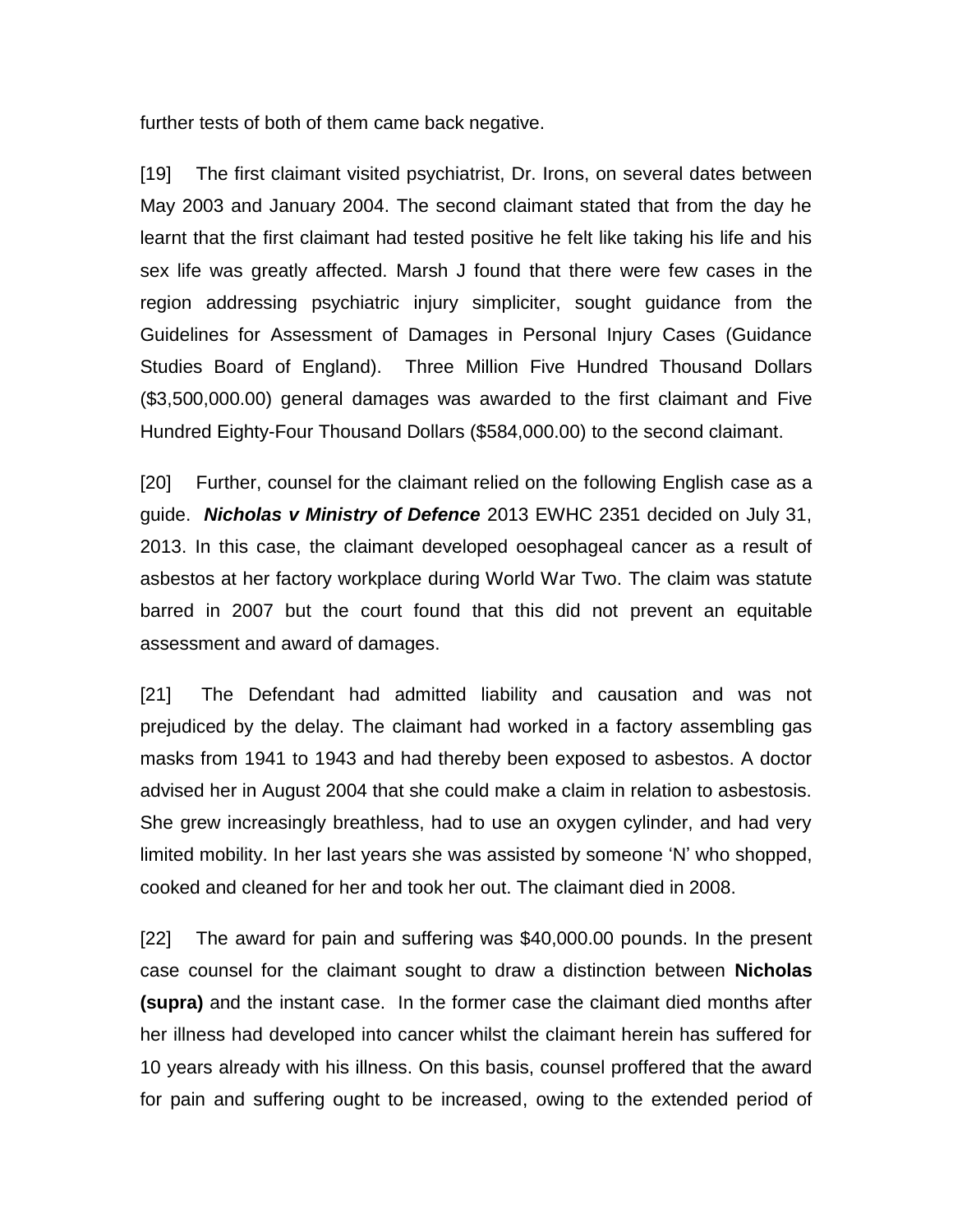further tests of both of them came back negative.

[19] The first claimant visited psychiatrist, Dr. Irons, on several dates between May 2003 and January 2004. The second claimant stated that from the day he learnt that the first claimant had tested positive he felt like taking his life and his sex life was greatly affected. Marsh J found that there were few cases in the region addressing psychiatric injury simpliciter, sought guidance from the Guidelines for Assessment of Damages in Personal Injury Cases (Guidance Studies Board of England). Three Million Five Hundred Thousand Dollars (\$3,500,000.00) general damages was awarded to the first claimant and Five Hundred Eighty-Four Thousand Dollars (\$584,000.00) to the second claimant.

[20] Further, counsel for the claimant relied on the following English case as a guide. *Nicholas v Ministry of Defence* 2013 EWHC 2351 decided on July 31, 2013. In this case, the claimant developed oesophageal cancer as a result of asbestos at her factory workplace during World War Two. The claim was statute barred in 2007 but the court found that this did not prevent an equitable assessment and award of damages.

[21] The Defendant had admitted liability and causation and was not prejudiced by the delay. The claimant had worked in a factory assembling gas masks from 1941 to 1943 and had thereby been exposed to asbestos. A doctor advised her in August 2004 that she could make a claim in relation to asbestosis. She grew increasingly breathless, had to use an oxygen cylinder, and had very limited mobility. In her last years she was assisted by someone 'N' who shopped, cooked and cleaned for her and took her out. The claimant died in 2008.

[22] The award for pain and suffering was \$40,000.00 pounds. In the present case counsel for the claimant sought to draw a distinction between **Nicholas (supra)** and the instant case. In the former case the claimant died months after her illness had developed into cancer whilst the claimant herein has suffered for 10 years already with his illness. On this basis, counsel proffered that the award for pain and suffering ought to be increased, owing to the extended period of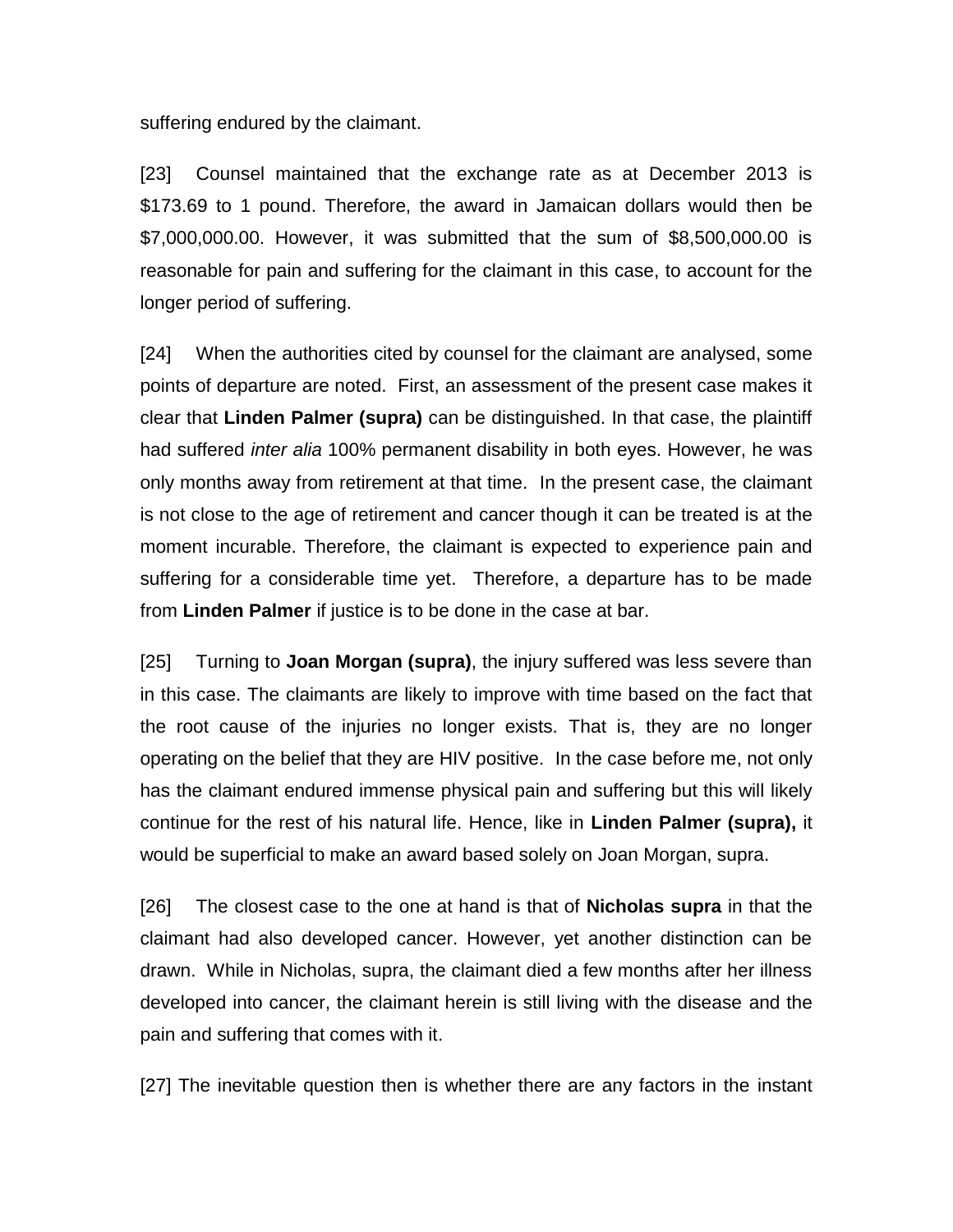suffering endured by the claimant.

[23] Counsel maintained that the exchange rate as at December 2013 is \$173.69 to 1 pound. Therefore, the award in Jamaican dollars would then be \$7,000,000.00. However, it was submitted that the sum of \$8,500,000.00 is reasonable for pain and suffering for the claimant in this case, to account for the longer period of suffering.

[24] When the authorities cited by counsel for the claimant are analysed, some points of departure are noted. First, an assessment of the present case makes it clear that **Linden Palmer (supra)** can be distinguished. In that case, the plaintiff had suffered *inter alia* 100% permanent disability in both eyes. However, he was only months away from retirement at that time. In the present case, the claimant is not close to the age of retirement and cancer though it can be treated is at the moment incurable. Therefore, the claimant is expected to experience pain and suffering for a considerable time yet. Therefore, a departure has to be made from **Linden Palmer** if justice is to be done in the case at bar.

[25] Turning to **Joan Morgan (supra)**, the injury suffered was less severe than in this case. The claimants are likely to improve with time based on the fact that the root cause of the injuries no longer exists. That is, they are no longer operating on the belief that they are HIV positive. In the case before me, not only has the claimant endured immense physical pain and suffering but this will likely continue for the rest of his natural life. Hence, like in **Linden Palmer (supra),** it would be superficial to make an award based solely on Joan Morgan, supra.

[26] The closest case to the one at hand is that of **Nicholas supra** in that the claimant had also developed cancer. However, yet another distinction can be drawn. While in Nicholas, supra, the claimant died a few months after her illness developed into cancer, the claimant herein is still living with the disease and the pain and suffering that comes with it.

[27] The inevitable question then is whether there are any factors in the instant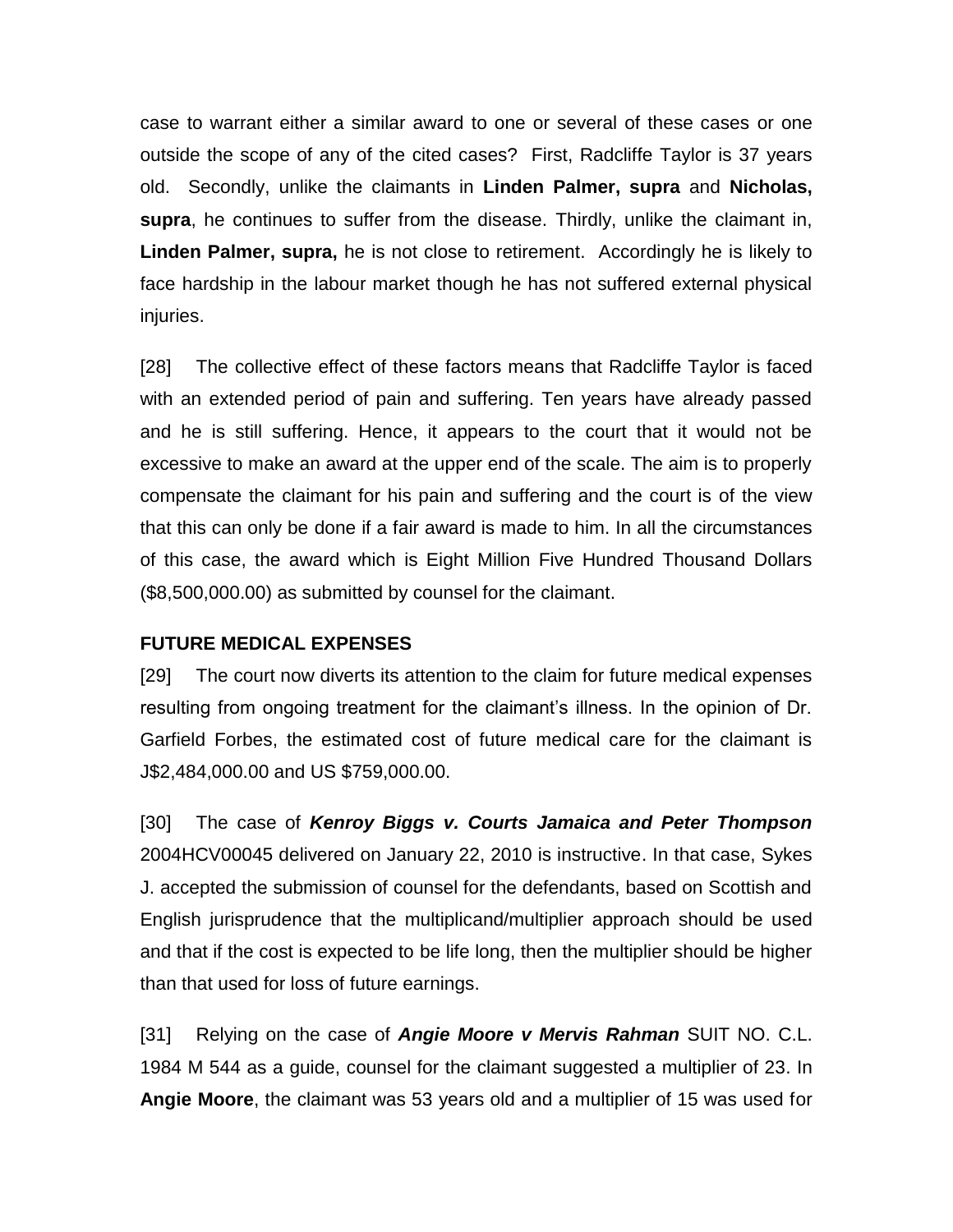case to warrant either a similar award to one or several of these cases or one outside the scope of any of the cited cases? First, Radcliffe Taylor is 37 years old. Secondly, unlike the claimants in **Linden Palmer, supra** and **Nicholas, supra**, he continues to suffer from the disease. Thirdly, unlike the claimant in, **Linden Palmer, supra,** he is not close to retirement. Accordingly he is likely to face hardship in the labour market though he has not suffered external physical injuries.

[28] The collective effect of these factors means that Radcliffe Taylor is faced with an extended period of pain and suffering. Ten years have already passed and he is still suffering. Hence, it appears to the court that it would not be excessive to make an award at the upper end of the scale. The aim is to properly compensate the claimant for his pain and suffering and the court is of the view that this can only be done if a fair award is made to him. In all the circumstances of this case, the award which is Eight Million Five Hundred Thousand Dollars (\$8,500,000.00) as submitted by counsel for the claimant.

#### **FUTURE MEDICAL EXPENSES**

[29] The court now diverts its attention to the claim for future medical expenses resulting from ongoing treatment for the claimant's illness. In the opinion of Dr. Garfield Forbes, the estimated cost of future medical care for the claimant is J\$2,484,000.00 and US \$759,000.00.

[30] The case of *Kenroy Biggs v. Courts Jamaica and Peter Thompson* 2004HCV00045 delivered on January 22, 2010 is instructive. In that case, Sykes J. accepted the submission of counsel for the defendants, based on Scottish and English jurisprudence that the multiplicand/multiplier approach should be used and that if the cost is expected to be life long, then the multiplier should be higher than that used for loss of future earnings.

[31] Relying on the case of *Angie Moore v Mervis Rahman* SUIT NO. C.L. 1984 M 544 as a guide, counsel for the claimant suggested a multiplier of 23. In **Angie Moore**, the claimant was 53 years old and a multiplier of 15 was used for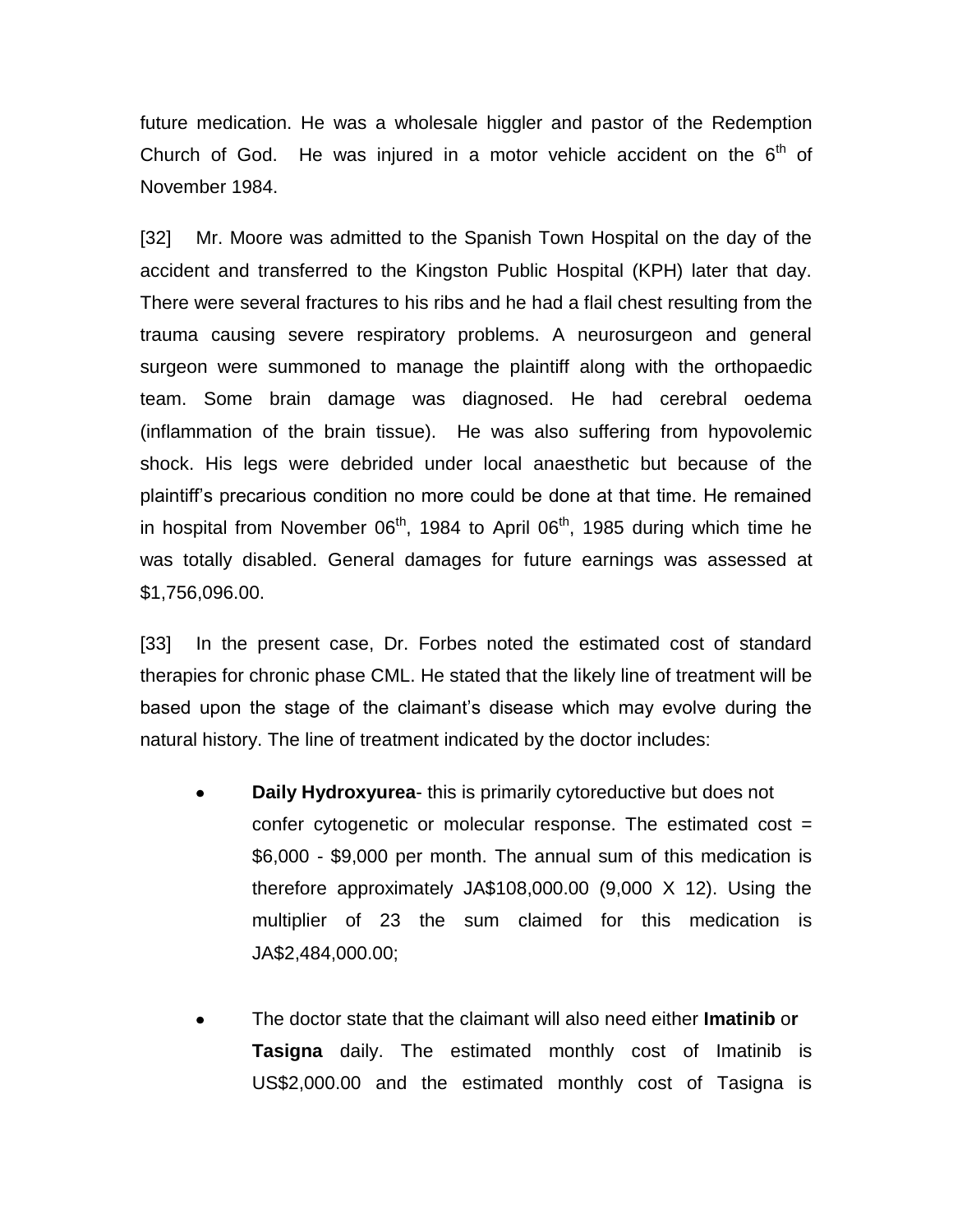future medication. He was a wholesale higgler and pastor of the Redemption Church of God. He was injured in a motor vehicle accident on the  $6<sup>th</sup>$  of November 1984.

[32] Mr. Moore was admitted to the Spanish Town Hospital on the day of the accident and transferred to the Kingston Public Hospital (KPH) later that day. There were several fractures to his ribs and he had a flail chest resulting from the trauma causing severe respiratory problems. A neurosurgeon and general surgeon were summoned to manage the plaintiff along with the orthopaedic team. Some brain damage was diagnosed. He had cerebral oedema (inflammation of the brain tissue). He was also suffering from hypovolemic shock. His legs were debrided under local anaesthetic but because of the plaintiff's precarious condition no more could be done at that time. He remained in hospital from November  $06<sup>th</sup>$ , 1984 to April  $06<sup>th</sup>$ , 1985 during which time he was totally disabled. General damages for future earnings was assessed at \$1,756,096.00.

[33] In the present case, Dr. Forbes noted the estimated cost of standard therapies for chronic phase CML. He stated that the likely line of treatment will be based upon the stage of the claimant's disease which may evolve during the natural history. The line of treatment indicated by the doctor includes:

- **Daily Hydroxyurea** this is primarily cytoreductive but does not confer cytogenetic or molecular response. The estimated cost = \$6,000 - \$9,000 per month. The annual sum of this medication is therefore approximately JA\$108,000.00 (9,000 X 12). Using the multiplier of 23 the sum claimed for this medication is JA\$2,484,000.00;
- The doctor state that the claimant will also need either **Imatinib** o**r Tasigna** daily. The estimated monthly cost of Imatinib is US\$2,000.00 and the estimated monthly cost of Tasigna is